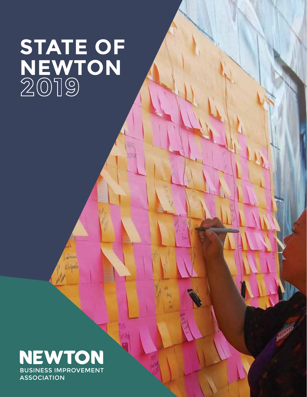### **STATE OF NEWTON**



Jiho فعدل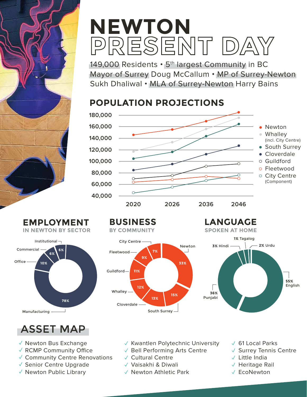# **NEWTON**<br>PRESENT DA

149,000 Residents • 5<sup>th</sup> largest Community in BC Mayor of Surrey Doug McCallum • MP of Surrey-Newton Sukh Dhaliwal • MLA of Surrey-Newton Harry Bains

#### **POPULATION PROJECTIONS**





**BUSINESS BY COMMUNITY** City Centre



**LANGUAGE SPOKEN AT HOME**



#### ASSET MAP

- √ Newton Bus Exchange
- $\checkmark$  RCMP Community Office
- Community Centre Renovations ✓
- √ Senior Centre Upgrade
- $\checkmark$  Newton Public Library
- Kwantlen Polytechnic University ✓
- √ Bell Performing Arts Centre
- Cultural Centre ✓
- √ Vaisakhi & Diwali
- $\checkmark$  Newton Athletic Park
- 61 Local Parks ✓
- √ Surrey Tennis Centre
- Little India ✓
- √ Heritage Rail
- EcoNewton ✓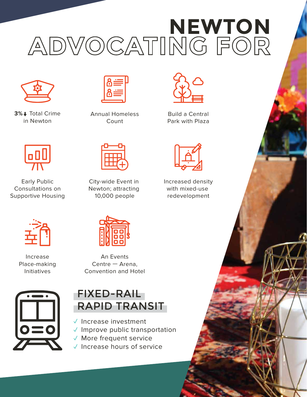# ADVOCATING FOR



**3%↓** Total Crime in Newton



Annual Homeless Count



Build a Central Park with Plaza



Increased density with mixed-use redevelopment



Early Public Consultations on Supportive Housing



Increase Place-making Initiatives



City-wide Event in Newton; attracting 10,000 people

An Events Centre — Arena, Convention and Hotel



### FIXED-RAIL RAPID TRANSIT

- $\checkmark$  Increase investment
- $\checkmark$  Improve public transportation
- ✓ More frequent service
- $\checkmark$  Increase hours of service